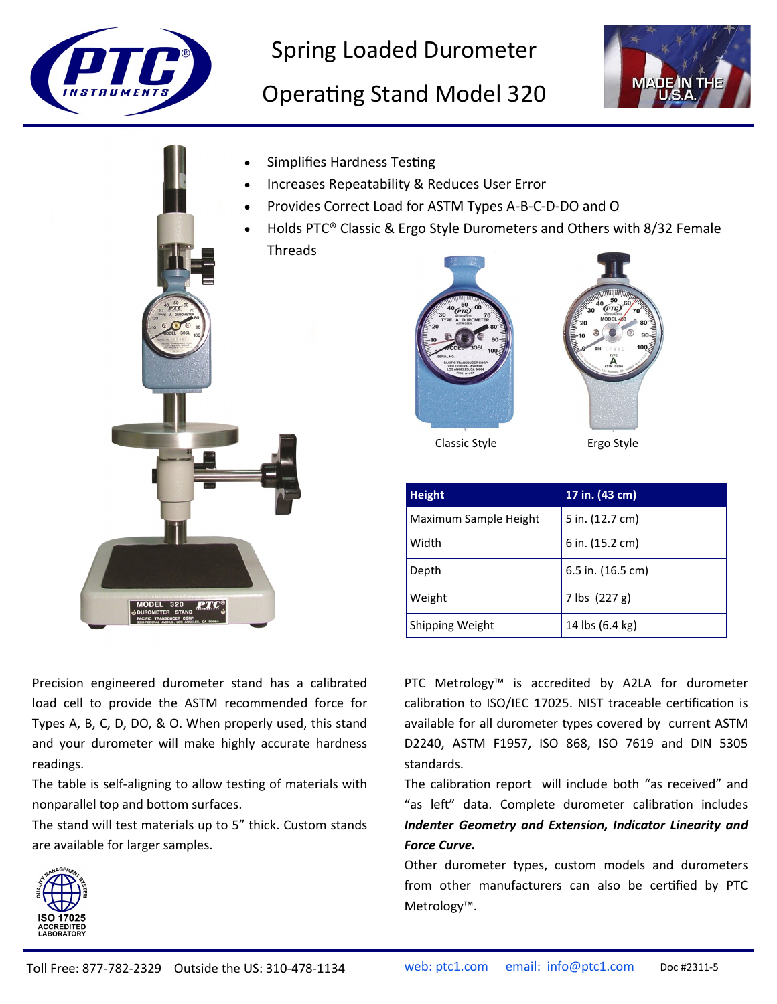

Spring Loaded Durometer

## Operating Stand Model 320





**Height 17 in. (43 cm)** Maximum Sample Height  $\vert$  5 in. (12.7 cm) Width  $|6 \text{ in.} (15.2 \text{ cm})$ Depth 6.5 in. (16.5 cm) Classic Style **Ergo Style** 

Shipping Weight | 14 lbs (6.4 kg)

Precision engineered durometer stand has a calibrated load cell to provide the ASTM recommended force for Types A, B, C, D, DO, & O. When properly used, this stand and your durometer will make highly accurate hardness readings.

The table is self-aligning to allow testing of materials with nonparallel top and bottom surfaces.

The stand will test materials up to 5" thick. Custom stands are available for larger samples.



PTC Metrology™ is accredited by A2LA for durometer calibration to ISO/IEC 17025. NIST traceable certification is available for all durometer types covered by current ASTM D2240, ASTM F1957, ISO 868, ISO 7619 and DIN 5305 standards.

The calibration report will include both "as received" and "as left" data. Complete durometer calibration includes *Indenter Geometry and Extension, Indicator Linearity and Force Curve.*

Other durometer types, custom models and durometers from other manufacturers can also be certified by PTC Metrology™.